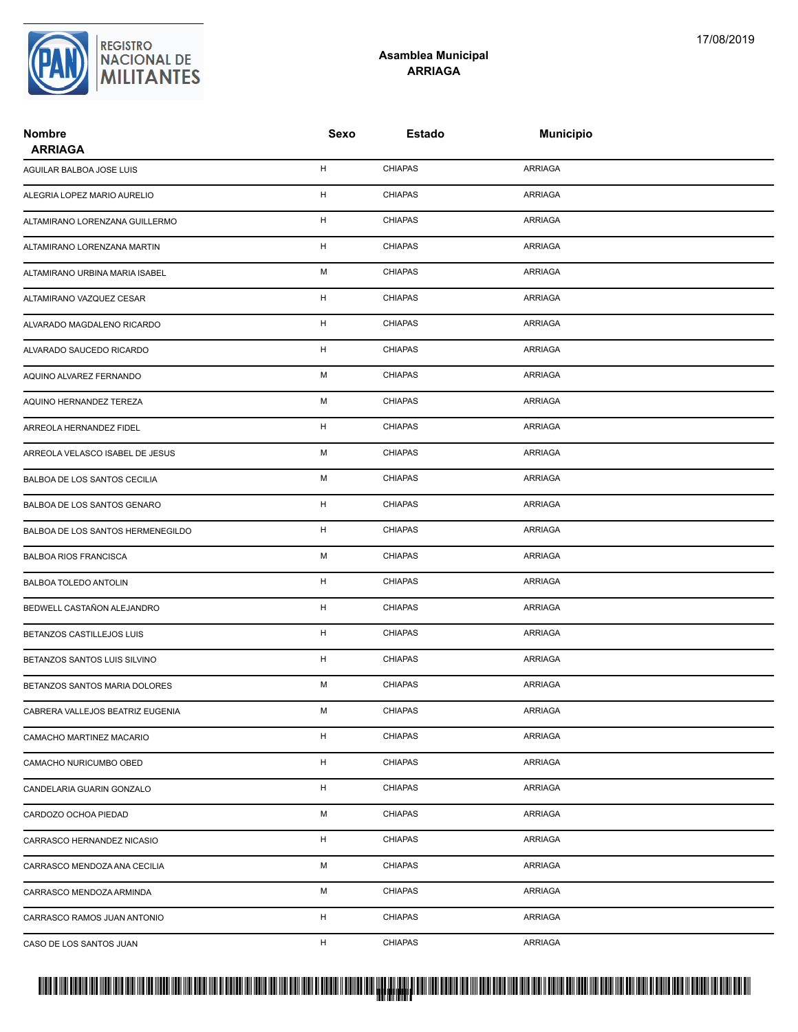### **Asamblea Municipal ARRIAGA**

| <b>Nombre</b><br><b>ARRIAGA</b>   | Sexo        | Estado         | <b>Municipio</b> |
|-----------------------------------|-------------|----------------|------------------|
| AGUILAR BALBOA JOSE LUIS          | н           | <b>CHIAPAS</b> | ARRIAGA          |
| ALEGRIA LOPEZ MARIO AURELIO       | Н           | <b>CHIAPAS</b> | <b>ARRIAGA</b>   |
| ALTAMIRANO LORENZANA GUILLERMO    | H           | <b>CHIAPAS</b> | <b>ARRIAGA</b>   |
| ALTAMIRANO LORENZANA MARTIN       | Н           | <b>CHIAPAS</b> | ARRIAGA          |
| ALTAMIRANO URBINA MARIA ISABEL    | М           | <b>CHIAPAS</b> | ARRIAGA          |
| ALTAMIRANO VAZQUEZ CESAR          | н           | <b>CHIAPAS</b> | ARRIAGA          |
| ALVARADO MAGDALENO RICARDO        | Н           | <b>CHIAPAS</b> | <b>ARRIAGA</b>   |
| ALVARADO SAUCEDO RICARDO          | $\mathsf H$ | <b>CHIAPAS</b> | <b>ARRIAGA</b>   |
| AQUINO ALVAREZ FERNANDO           | М           | <b>CHIAPAS</b> | ARRIAGA          |
| AQUINO HERNANDEZ TEREZA           | М           | <b>CHIAPAS</b> | ARRIAGA          |
| ARREOLA HERNANDEZ FIDEL           | н           | <b>CHIAPAS</b> | ARRIAGA          |
| ARREOLA VELASCO ISABEL DE JESUS   | М           | <b>CHIAPAS</b> | <b>ARRIAGA</b>   |
| BALBOA DE LOS SANTOS CECILIA      | М           | <b>CHIAPAS</b> | <b>ARRIAGA</b>   |
| BALBOA DE LOS SANTOS GENARO       | Н           | <b>CHIAPAS</b> | ARRIAGA          |
| BALBOA DE LOS SANTOS HERMENEGILDO | H           | <b>CHIAPAS</b> | <b>ARRIAGA</b>   |
| <b>BALBOA RIOS FRANCISCA</b>      | М           | <b>CHIAPAS</b> | ARRIAGA          |
| <b>BALBOA TOLEDO ANTOLIN</b>      | н           | <b>CHIAPAS</b> | ARRIAGA          |
| BEDWELL CASTAÑON ALEJANDRO        | Н           | <b>CHIAPAS</b> | <b>ARRIAGA</b>   |
| BETANZOS CASTILLEJOS LUIS         | Н           | <b>CHIAPAS</b> | ARRIAGA          |
| BETANZOS SANTOS LUIS SILVINO      | H           | <b>CHIAPAS</b> | ARRIAGA          |
| BETANZOS SANTOS MARIA DOLORES     | М           | <b>CHIAPAS</b> | <b>ARRIAGA</b>   |
| CABRERA VALLEJOS BEATRIZ EUGENIA  | М           | <b>CHIAPAS</b> | <b>ARRIAGA</b>   |
| CAMACHO MARTINEZ MACARIO          | $\mathsf H$ | <b>CHIAPAS</b> | <b>ARRIAGA</b>   |
| CAMACHO NURICUMBO OBED            | H           | <b>CHIAPAS</b> | ARRIAGA          |
| CANDELARIA GUARIN GONZALO         | H           | <b>CHIAPAS</b> | <b>ARRIAGA</b>   |
| CARDOZO OCHOA PIEDAD              | М           | <b>CHIAPAS</b> | ARRIAGA          |
| CARRASCO HERNANDEZ NICASIO        | H           | <b>CHIAPAS</b> | ARRIAGA          |
| CARRASCO MENDOZA ANA CECILIA      | М           | <b>CHIAPAS</b> | <b>ARRIAGA</b>   |
| CARRASCO MENDOZA ARMINDA          | М           | <b>CHIAPAS</b> | ARRIAGA          |
| CARRASCO RAMOS JUAN ANTONIO       | H           | <b>CHIAPAS</b> | ARRIAGA          |
| CASO DE LOS SANTOS JUAN           | H           | <b>CHIAPAS</b> | ARRIAGA          |

## PROTUCCION SU REGION DA SU REGIONAL DE LA SULTA SU REGIONAL DE MILITANTES CONTRADO NACIONAL DE MILITANTES CONTRADO N <mark>. Pangyakan k</mark>

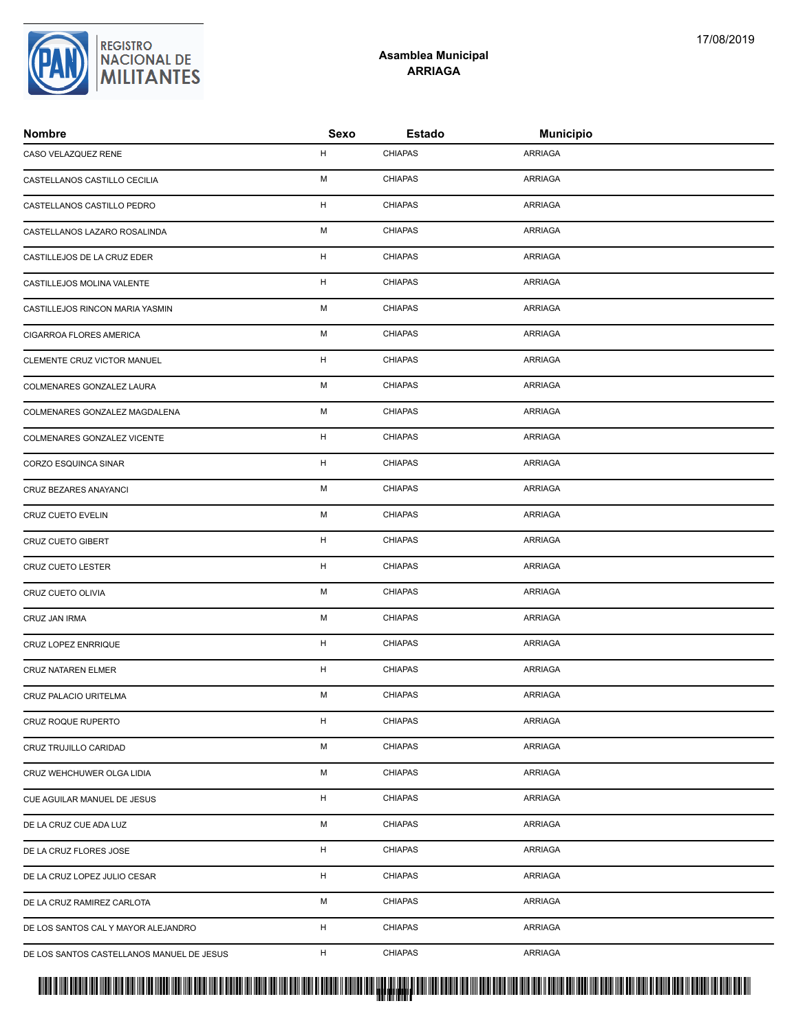| CASO VELAZQUEZ RENE                       | н           | <b>CHIAPAS</b> | <b>ARRIAGA</b> |  |
|-------------------------------------------|-------------|----------------|----------------|--|
| CASTELLANOS CASTILLO CECILIA              | М           | <b>CHIAPAS</b> | <b>ARRIAGA</b> |  |
| CASTELLANOS CASTILLO PEDRO                | Н           | <b>CHIAPAS</b> | ARRIAGA        |  |
| CASTELLANOS LAZARO ROSALINDA              | М           | <b>CHIAPAS</b> | ARRIAGA        |  |
| CASTILLEJOS DE LA CRUZ EDER               | н           | <b>CHIAPAS</b> | ARRIAGA        |  |
| CASTILLEJOS MOLINA VALENTE                | н           | <b>CHIAPAS</b> | ARRIAGA        |  |
| CASTILLEJOS RINCON MARIA YASMIN           | М           | <b>CHIAPAS</b> | ARRIAGA        |  |
| CIGARROA FLORES AMERICA                   | М           | <b>CHIAPAS</b> | ARRIAGA        |  |
| CLEMENTE CRUZ VICTOR MANUEL               | $\mathsf H$ | <b>CHIAPAS</b> | ARRIAGA        |  |
| COLMENARES GONZALEZ LAURA                 | М           | <b>CHIAPAS</b> | ARRIAGA        |  |
| COLMENARES GONZALEZ MAGDALENA             | М           | <b>CHIAPAS</b> | <b>ARRIAGA</b> |  |
| COLMENARES GONZALEZ VICENTE               | $\mathsf H$ | <b>CHIAPAS</b> | ARRIAGA        |  |
| CORZO ESQUINCA SINAR                      | Н           | <b>CHIAPAS</b> | <b>ARRIAGA</b> |  |
| CRUZ BEZARES ANAYANCI                     | М           | <b>CHIAPAS</b> | ARRIAGA        |  |
| CRUZ CUETO EVELIN                         | М           | <b>CHIAPAS</b> | ARRIAGA        |  |
| CRUZ CUETO GIBERT                         | н           | <b>CHIAPAS</b> | <b>ARRIAGA</b> |  |
| <b>CRUZ CUETO LESTER</b>                  | н           | CHIAPAS        | ARRIAGA        |  |
| CRUZ CUETO OLIVIA                         | M           | <b>CHIAPAS</b> | ARRIAGA        |  |
| CRUZ JAN IRMA                             | М           | <b>CHIAPAS</b> | ARRIAGA        |  |
| CRUZ LOPEZ ENRRIQUE                       | н           | <b>CHIAPAS</b> | ARRIAGA        |  |
| <b>CRUZ NATAREN ELMER</b>                 | Н           | <b>CHIAPAS</b> | <b>ARRIAGA</b> |  |
| CRUZ PALACIO URITELMA                     | М           | <b>CHIAPAS</b> | ARRIAGA        |  |
| CRUZ ROQUE RUPERTO                        | н           | <b>CHIAPAS</b> | ARRIAGA        |  |
| CRUZ TRUJILLO CARIDAD                     | М           | <b>CHIAPAS</b> | ARRIAGA        |  |
| CRUZ WEHCHUWER OLGA LIDIA                 | М           | <b>CHIAPAS</b> | ARRIAGA        |  |
| CUE AGUILAR MANUEL DE JESUS               | н           | <b>CHIAPAS</b> | ARRIAGA        |  |
| DE LA CRUZ CUE ADA LUZ                    | М           | <b>CHIAPAS</b> | ARRIAGA        |  |
| DE LA CRUZ FLORES JOSE                    | $\mathsf H$ | <b>CHIAPAS</b> | ARRIAGA        |  |
| DE LA CRUZ LOPEZ JULIO CESAR              | н           | <b>CHIAPAS</b> | ARRIAGA        |  |
| DE LA CRUZ RAMIREZ CARLOTA                | М           | <b>CHIAPAS</b> | ARRIAGA        |  |
| DE LOS SANTOS CAL Y MAYOR ALEJANDRO       | н           | <b>CHIAPAS</b> | ARRIAGA        |  |
| DE LOS SANTOS CASTELLANOS MANUEL DE JESUS | н           | <b>CHIAPAS</b> | ARRIAGA        |  |
|                                           |             |                |                |  |



### **Asamblea Municipal ARRIAGA**

**Nombre Sexo Estado Municipio**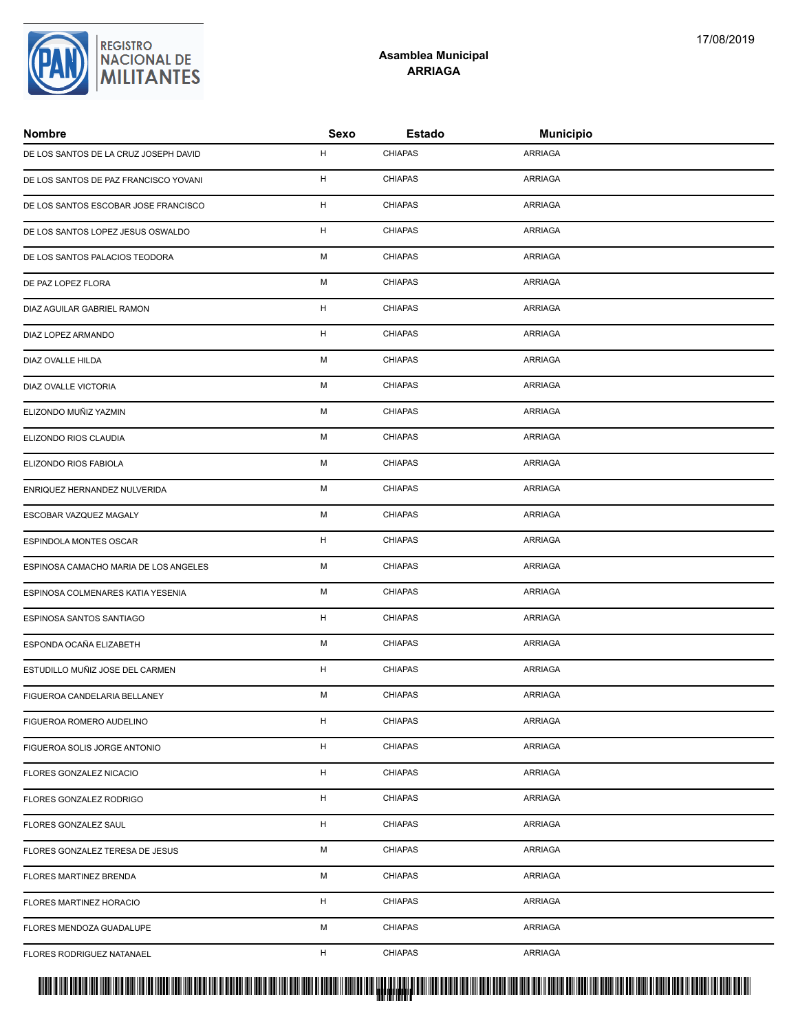## REGISTRO<br>NACIONAL DE<br>**MILITANTES**

### **Asamblea Municipal ARRIAGA**

| <b>Nombre</b>                         | Sexo | Estado         | <b>Municipio</b> |  |
|---------------------------------------|------|----------------|------------------|--|
| DE LOS SANTOS DE LA CRUZ JOSEPH DAVID | H    | <b>CHIAPAS</b> | ARRIAGA          |  |
| DE LOS SANTOS DE PAZ FRANCISCO YOVANI | H    | <b>CHIAPAS</b> | ARRIAGA          |  |
| DE LOS SANTOS ESCOBAR JOSE FRANCISCO  | H    | <b>CHIAPAS</b> | ARRIAGA          |  |
| DE LOS SANTOS LOPEZ JESUS OSWALDO     | H    | <b>CHIAPAS</b> | ARRIAGA          |  |
| DE LOS SANTOS PALACIOS TEODORA        | М    | <b>CHIAPAS</b> | ARRIAGA          |  |
| DE PAZ LOPEZ FLORA                    | M    | <b>CHIAPAS</b> | ARRIAGA          |  |
| DIAZ AGUILAR GABRIEL RAMON            | H    | <b>CHIAPAS</b> | ARRIAGA          |  |
| DIAZ LOPEZ ARMANDO                    | H    | <b>CHIAPAS</b> | ARRIAGA          |  |
| DIAZ OVALLE HILDA                     | M    | <b>CHIAPAS</b> | ARRIAGA          |  |
| DIAZ OVALLE VICTORIA                  | M    | <b>CHIAPAS</b> | ARRIAGA          |  |
| ELIZONDO MUÑIZ YAZMIN                 | M    | <b>CHIAPAS</b> | ARRIAGA          |  |
| ELIZONDO RIOS CLAUDIA                 | M    | <b>CHIAPAS</b> | ARRIAGA          |  |
| ELIZONDO RIOS FABIOLA                 | M    | <b>CHIAPAS</b> | ARRIAGA          |  |
| ENRIQUEZ HERNANDEZ NULVERIDA          | M    | <b>CHIAPAS</b> | ARRIAGA          |  |
| ESCOBAR VAZQUEZ MAGALY                | М    | <b>CHIAPAS</b> | ARRIAGA          |  |
| ESPINDOLA MONTES OSCAR                | H    | <b>CHIAPAS</b> | ARRIAGA          |  |
| ESPINOSA CAMACHO MARIA DE LOS ANGELES | M    | <b>CHIAPAS</b> | ARRIAGA          |  |
| ESPINOSA COLMENARES KATIA YESENIA     | M    | <b>CHIAPAS</b> | ARRIAGA          |  |
| ESPINOSA SANTOS SANTIAGO              | H    | <b>CHIAPAS</b> | ARRIAGA          |  |
| ESPONDA OCAÑA ELIZABETH               | M    | <b>CHIAPAS</b> | ARRIAGA          |  |
| ESTUDILLO MUÑIZ JOSE DEL CARMEN       | H    | <b>CHIAPAS</b> | ARRIAGA          |  |
| FIGUEROA CANDELARIA BELLANEY          | M    | <b>CHIAPAS</b> | ARRIAGA          |  |
| FIGUEROA ROMERO AUDELINO              | H    | <b>CHIAPAS</b> | ARRIAGA          |  |
| FIGUEROA SOLIS JORGE ANTONIO          | H    | <b>CHIAPAS</b> | ARRIAGA          |  |
| FLORES GONZALEZ NICACIO               | H    | <b>CHIAPAS</b> | ARRIAGA          |  |
| FLORES GONZALEZ RODRIGO               | H    | <b>CHIAPAS</b> | ARRIAGA          |  |
| FLORES GONZALEZ SAUL                  | H    | <b>CHIAPAS</b> | ARRIAGA          |  |
| FLORES GONZALEZ TERESA DE JESUS       | M    | <b>CHIAPAS</b> | ARRIAGA          |  |
| FLORES MARTINEZ BRENDA                | М    | <b>CHIAPAS</b> | ARRIAGA          |  |
| FLORES MARTINEZ HORACIO               | H    | <b>CHIAPAS</b> | ARRIAGA          |  |
| FLORES MENDOZA GUADALUPE              | М    | <b>CHIAPAS</b> | ARRIAGA          |  |
| FLORES RODRIGUEZ NATANAEL             | H    | <b>CHIAPAS</b> | ARRIAGA          |  |

<mark>. Pangyakan k</mark>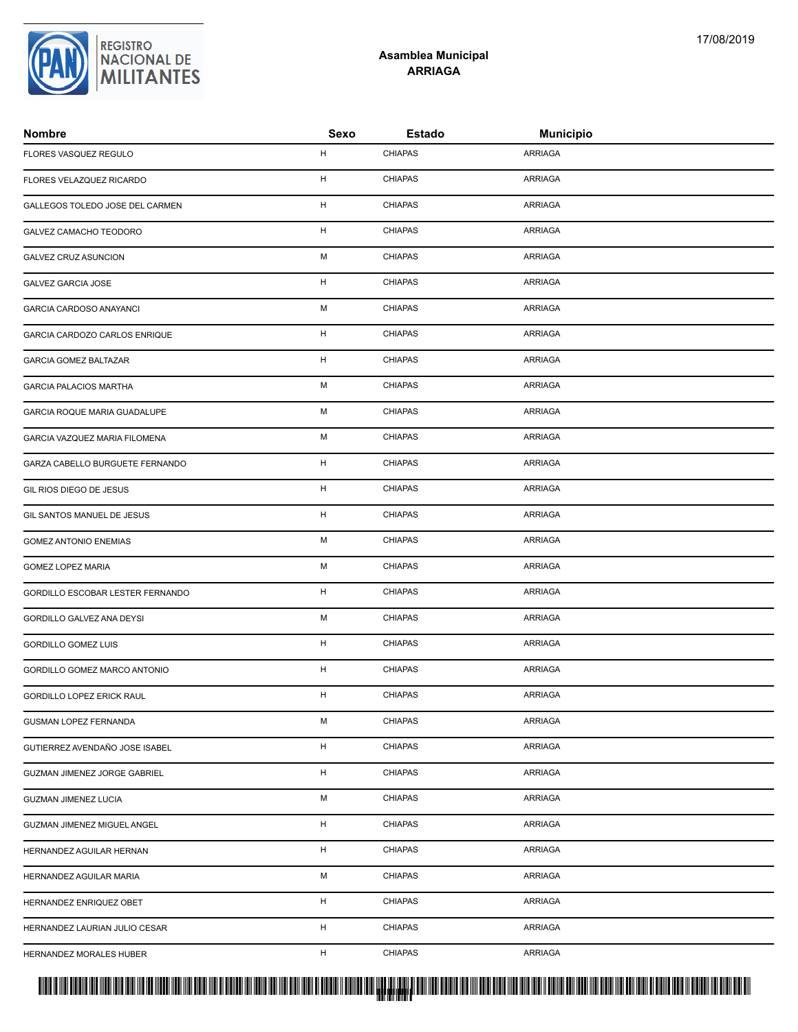| <b>Nombre</b>                       | Sexo        | <b>Estado</b>  | <b>Municipio</b> |
|-------------------------------------|-------------|----------------|------------------|
| FLORES VASQUEZ REGULO               | н           | <b>CHIAPAS</b> | <b>ARRIAGA</b>   |
| FLORES VELAZQUEZ RICARDO            | н           | <b>CHIAPAS</b> | <b>ARRIAGA</b>   |
| GALLEGOS TOLEDO JOSE DEL CARMEN     | H           | <b>CHIAPAS</b> | <b>ARRIAGA</b>   |
| GALVEZ CAMACHO TEODORO              | Н           | <b>CHIAPAS</b> | <b>ARRIAGA</b>   |
| <b>GALVEZ CRUZ ASUNCION</b>         | M           | <b>CHIAPAS</b> | <b>ARRIAGA</b>   |
| GALVEZ GARCIA JOSE                  | H           | <b>CHIAPAS</b> | <b>ARRIAGA</b>   |
| <b>GARCIA CARDOSO ANAYANCI</b>      | M           | <b>CHIAPAS</b> | <b>ARRIAGA</b>   |
| GARCIA CARDOZO CARLOS ENRIQUE       | H           | <b>CHIAPAS</b> | <b>ARRIAGA</b>   |
| <b>GARCIA GOMEZ BALTAZAR</b>        | н           | <b>CHIAPAS</b> | <b>ARRIAGA</b>   |
| <b>GARCIA PALACIOS MARTHA</b>       | M           | <b>CHIAPAS</b> | <b>ARRIAGA</b>   |
| GARCIA ROQUE MARIA GUADALUPE        | M           | <b>CHIAPAS</b> | <b>ARRIAGA</b>   |
| GARCIA VAZQUEZ MARIA FILOMENA       | M           | <b>CHIAPAS</b> | <b>ARRIAGA</b>   |
| GARZA CABELLO BURGUETE FERNANDO     | $\mathsf H$ | <b>CHIAPAS</b> | <b>ARRIAGA</b>   |
| GIL RIOS DIEGO DE JESUS             | $\mathsf H$ | <b>CHIAPAS</b> | ARRIAGA          |
| GIL SANTOS MANUEL DE JESUS          | н           | <b>CHIAPAS</b> | <b>ARRIAGA</b>   |
| <b>GOMEZ ANTONIO ENEMIAS</b>        | М           | <b>CHIAPAS</b> | <b>ARRIAGA</b>   |
| <b>GOMEZ LOPEZ MARIA</b>            | M           | <b>CHIAPAS</b> | <b>ARRIAGA</b>   |
| GORDILLO ESCOBAR LESTER FERNANDO    | H           | <b>CHIAPAS</b> | <b>ARRIAGA</b>   |
| GORDILLO GALVEZ ANA DEYSI           | M           | <b>CHIAPAS</b> | <b>ARRIAGA</b>   |
| <b>GORDILLO GOMEZ LUIS</b>          | H           | <b>CHIAPAS</b> | <b>ARRIAGA</b>   |
| GORDILLO GOMEZ MARCO ANTONIO        | H           | <b>CHIAPAS</b> | <b>ARRIAGA</b>   |
| GORDILLO LOPEZ ERICK RAUL           | н           | <b>CHIAPAS</b> | <b>ARRIAGA</b>   |
| GUSMAN LOPEZ FERNANDA               | М           | <b>CHIAPAS</b> | <b>ARRIAGA</b>   |
| GUTIERREZ AVENDAÑO JOSE ISABEL      | н           | <b>CHIAPAS</b> | <b>ARRIAGA</b>   |
| <b>GUZMAN JIMENEZ JORGE GABRIEL</b> | н           | <b>CHIAPAS</b> | <b>ARRIAGA</b>   |
| <b>GUZMAN JIMENEZ LUCIA</b>         | М           | <b>CHIAPAS</b> | <b>ARRIAGA</b>   |
| GUZMAN JIMENEZ MIGUEL ANGEL         | н           | <b>CHIAPAS</b> | <b>ARRIAGA</b>   |
| HERNANDEZ AGUILAR HERNAN            | н           | <b>CHIAPAS</b> | <b>ARRIAGA</b>   |
| HERNANDEZ AGUILAR MARIA             | M           | <b>CHIAPAS</b> | <b>ARRIAGA</b>   |
| HERNANDEZ ENRIQUEZ OBET             | H           | <b>CHIAPAS</b> | <b>ARRIAGA</b>   |
| HERNANDEZ LAURIAN JULIO CESAR       | н           | <b>CHIAPAS</b> | <b>ARRIAGA</b>   |
| HERNANDEZ MORALES HUBER             | н           | <b>CHIAPAS</b> | <b>ARRIAGA</b>   |
|                                     |             |                |                  |

**Asamblea Municipal ARRIAGA**

REGISTRO<br>|NACIONAL DE<br>|**MILITANTES**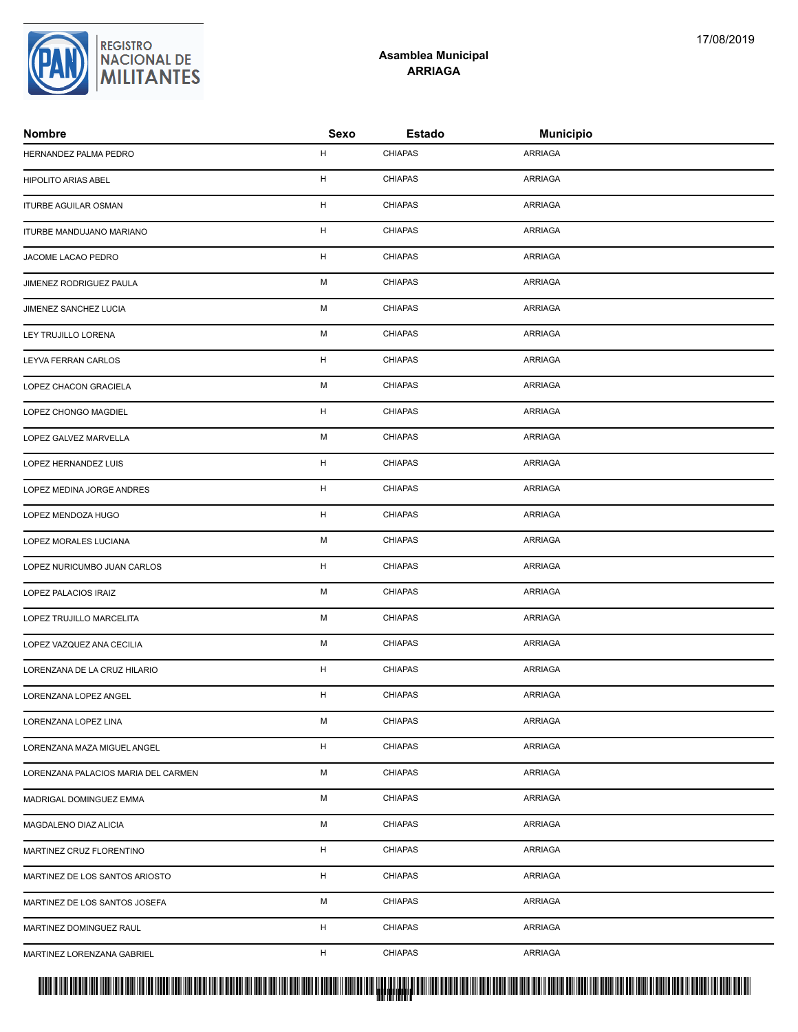# REGISTRO<br>|NACIONAL DE<br>|**MILITANTES**

### **Asamblea Municipal ARRIAGA**

| <b>Nombre</b>                       | Sexo | <b>Estado</b>  | <b>Municipio</b> |  |
|-------------------------------------|------|----------------|------------------|--|
| HERNANDEZ PALMA PEDRO               | H    | <b>CHIAPAS</b> | ARRIAGA          |  |
| <b>HIPOLITO ARIAS ABEL</b>          | H    | <b>CHIAPAS</b> | ARRIAGA          |  |
| ITURBE AGUILAR OSMAN                | H    | <b>CHIAPAS</b> | ARRIAGA          |  |
| ITURBE MANDUJANO MARIANO            | H    | <b>CHIAPAS</b> | ARRIAGA          |  |
| JACOME LACAO PEDRO                  | H    | <b>CHIAPAS</b> | ARRIAGA          |  |
| JIMENEZ RODRIGUEZ PAULA             | M    | <b>CHIAPAS</b> | ARRIAGA          |  |
| JIMENEZ SANCHEZ LUCIA               | M    | <b>CHIAPAS</b> | ARRIAGA          |  |
| LEY TRUJILLO LORENA                 | M    | <b>CHIAPAS</b> | ARRIAGA          |  |
| LEYVA FERRAN CARLOS                 | H    | <b>CHIAPAS</b> | ARRIAGA          |  |
| LOPEZ CHACON GRACIELA               | M    | <b>CHIAPAS</b> | ARRIAGA          |  |
| LOPEZ CHONGO MAGDIEL                | H    | <b>CHIAPAS</b> | ARRIAGA          |  |
| LOPEZ GALVEZ MARVELLA               | M    | <b>CHIAPAS</b> | ARRIAGA          |  |
| LOPEZ HERNANDEZ LUIS                | H    | <b>CHIAPAS</b> | ARRIAGA          |  |
| LOPEZ MEDINA JORGE ANDRES           | H    | <b>CHIAPAS</b> | ARRIAGA          |  |
| LOPEZ MENDOZA HUGO                  | H    | <b>CHIAPAS</b> | ARRIAGA          |  |
| LOPEZ MORALES LUCIANA               | M    | <b>CHIAPAS</b> | ARRIAGA          |  |
| LOPEZ NURICUMBO JUAN CARLOS         | H    | <b>CHIAPAS</b> | ARRIAGA          |  |
| LOPEZ PALACIOS IRAIZ                | M    | <b>CHIAPAS</b> | ARRIAGA          |  |
| LOPEZ TRUJILLO MARCELITA            | M    | <b>CHIAPAS</b> | ARRIAGA          |  |
| LOPEZ VAZQUEZ ANA CECILIA           | M    | <b>CHIAPAS</b> | ARRIAGA          |  |
| LORENZANA DE LA CRUZ HILARIO        | H    | <b>CHIAPAS</b> | ARRIAGA          |  |
| LORENZANA LOPEZ ANGEL               | H    | <b>CHIAPAS</b> | ARRIAGA          |  |
| LORENZANA LOPEZ LINA                | M    | <b>CHIAPAS</b> | ARRIAGA          |  |
| LORENZANA MAZA MIGUEL ANGEL         | H    | <b>CHIAPAS</b> | ARRIAGA          |  |
| LORENZANA PALACIOS MARIA DEL CARMEN | М    | <b>CHIAPAS</b> | ARRIAGA          |  |
| MADRIGAL DOMINGUEZ EMMA             | M    | <b>CHIAPAS</b> | ARRIAGA          |  |
| MAGDALENO DIAZ ALICIA               | M    | <b>CHIAPAS</b> | ARRIAGA          |  |
| MARTINEZ CRUZ FLORENTINO            | H    | <b>CHIAPAS</b> | ARRIAGA          |  |
| MARTINEZ DE LOS SANTOS ARIOSTO      | H    | <b>CHIAPAS</b> | ARRIAGA          |  |
| MARTINEZ DE LOS SANTOS JOSEFA       | M    | <b>CHIAPAS</b> | ARRIAGA          |  |
| MARTINEZ DOMINGUEZ RAUL             | H    | <b>CHIAPAS</b> | ARRIAGA          |  |
| MARTINEZ LORENZANA GABRIEL          | H    | <b>CHIAPAS</b> | ARRIAGA          |  |

<mark>. Pangyakan k</mark>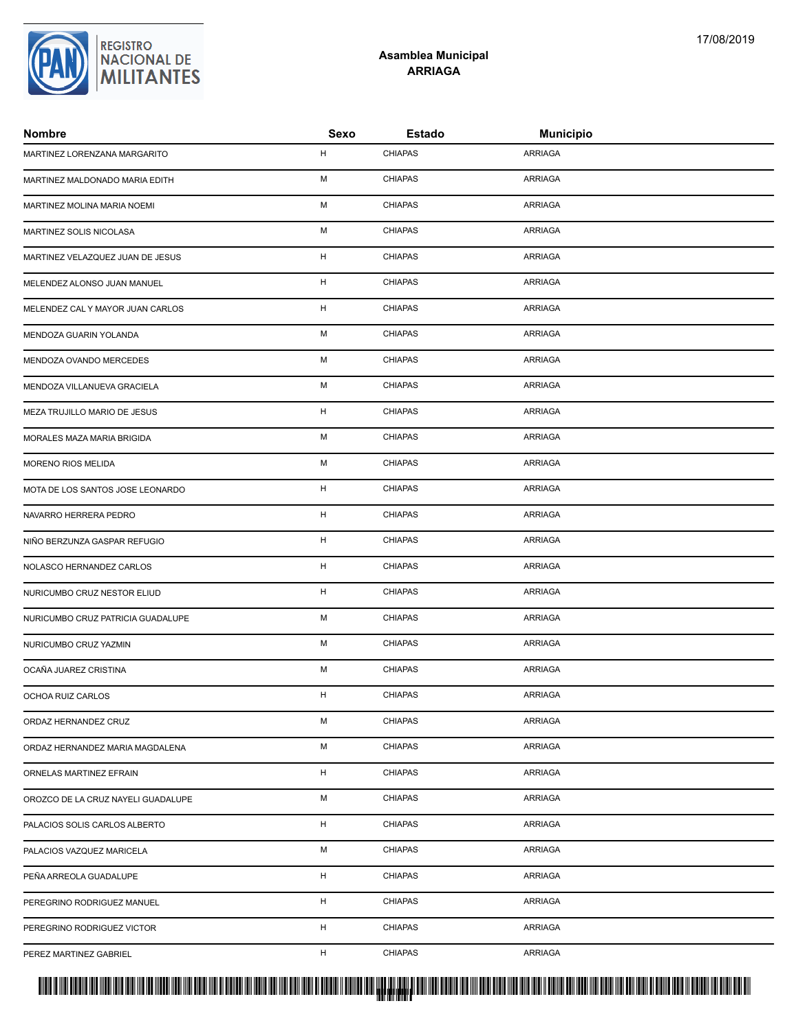| Nombre                             | Sexo | <b>Estado</b>  | <b>Municipio</b> |
|------------------------------------|------|----------------|------------------|
| MARTINEZ LORENZANA MARGARITO       | H    | <b>CHIAPAS</b> | <b>ARRIAGA</b>   |
| MARTINEZ MALDONADO MARIA EDITH     | M    | <b>CHIAPAS</b> | <b>ARRIAGA</b>   |
| MARTINEZ MOLINA MARIA NOEMI        | M    | <b>CHIAPAS</b> | <b>ARRIAGA</b>   |
| MARTINEZ SOLIS NICOLASA            | M    | <b>CHIAPAS</b> | <b>ARRIAGA</b>   |
| MARTINEZ VELAZQUEZ JUAN DE JESUS   | н    | <b>CHIAPAS</b> | <b>ARRIAGA</b>   |
| MELENDEZ ALONSO JUAN MANUEL        | н    | <b>CHIAPAS</b> | <b>ARRIAGA</b>   |
| MELENDEZ CAL Y MAYOR JUAN CARLOS   | H    | <b>CHIAPAS</b> | <b>ARRIAGA</b>   |
| MENDOZA GUARIN YOLANDA             | M    | <b>CHIAPAS</b> | <b>ARRIAGA</b>   |
| MENDOZA OVANDO MERCEDES            | M    | <b>CHIAPAS</b> | <b>ARRIAGA</b>   |
| MENDOZA VILLANUEVA GRACIELA        | M    | <b>CHIAPAS</b> | <b>ARRIAGA</b>   |
| MEZA TRUJILLO MARIO DE JESUS       | н    | <b>CHIAPAS</b> | <b>ARRIAGA</b>   |
| MORALES MAZA MARIA BRIGIDA         | M    | <b>CHIAPAS</b> | <b>ARRIAGA</b>   |
| MORENO RIOS MELIDA                 | M    | <b>CHIAPAS</b> | <b>ARRIAGA</b>   |
| MOTA DE LOS SANTOS JOSE LEONARDO   | H    | <b>CHIAPAS</b> | <b>ARRIAGA</b>   |
| NAVARRO HERRERA PEDRO              | H    | <b>CHIAPAS</b> | <b>ARRIAGA</b>   |
| NIÑO BERZUNZA GASPAR REFUGIO       | н    | <b>CHIAPAS</b> | <b>ARRIAGA</b>   |
| NOLASCO HERNANDEZ CARLOS           | H    | <b>CHIAPAS</b> | <b>ARRIAGA</b>   |
| NURICUMBO CRUZ NESTOR ELIUD        | H    | <b>CHIAPAS</b> | <b>ARRIAGA</b>   |
| NURICUMBO CRUZ PATRICIA GUADALUPE  | M    | <b>CHIAPAS</b> | <b>ARRIAGA</b>   |
| NURICUMBO CRUZ YAZMIN              | M    | <b>CHIAPAS</b> | <b>ARRIAGA</b>   |
| OCAÑA JUAREZ CRISTINA              | M    | <b>CHIAPAS</b> | <b>ARRIAGA</b>   |
| OCHOA RUIZ CARLOS                  | H    | <b>CHIAPAS</b> | <b>ARRIAGA</b>   |
| ORDAZ HERNANDEZ CRUZ               | М    | CHIAPAS        | ARRIAGA          |
| ORDAZ HERNANDEZ MARIA MAGDALENA    | м    | <b>CHIAPAS</b> | <b>ARRIAGA</b>   |
| ORNELAS MARTINEZ EFRAIN            | Н    | <b>CHIAPAS</b> | <b>ARRIAGA</b>   |
| OROZCO DE LA CRUZ NAYELI GUADALUPE | М    | <b>CHIAPAS</b> | <b>ARRIAGA</b>   |
| PALACIOS SOLIS CARLOS ALBERTO      | H    | <b>CHIAPAS</b> | <b>ARRIAGA</b>   |
| PALACIOS VAZQUEZ MARICELA          | М    | <b>CHIAPAS</b> | <b>ARRIAGA</b>   |
| PEÑA ARREOLA GUADALUPE             | H    | <b>CHIAPAS</b> | <b>ARRIAGA</b>   |
| PEREGRINO RODRIGUEZ MANUEL         | н    | <b>CHIAPAS</b> | <b>ARRIAGA</b>   |
| PEREGRINO RODRIGUEZ VICTOR         | H    | <b>CHIAPAS</b> | <b>ARRIAGA</b>   |
| PEREZ MARTINEZ GABRIEL             | H    | <b>CHIAPAS</b> | <b>ARRIAGA</b>   |
|                                    |      |                |                  |



### **Asamblea Municipal ARRIAGA**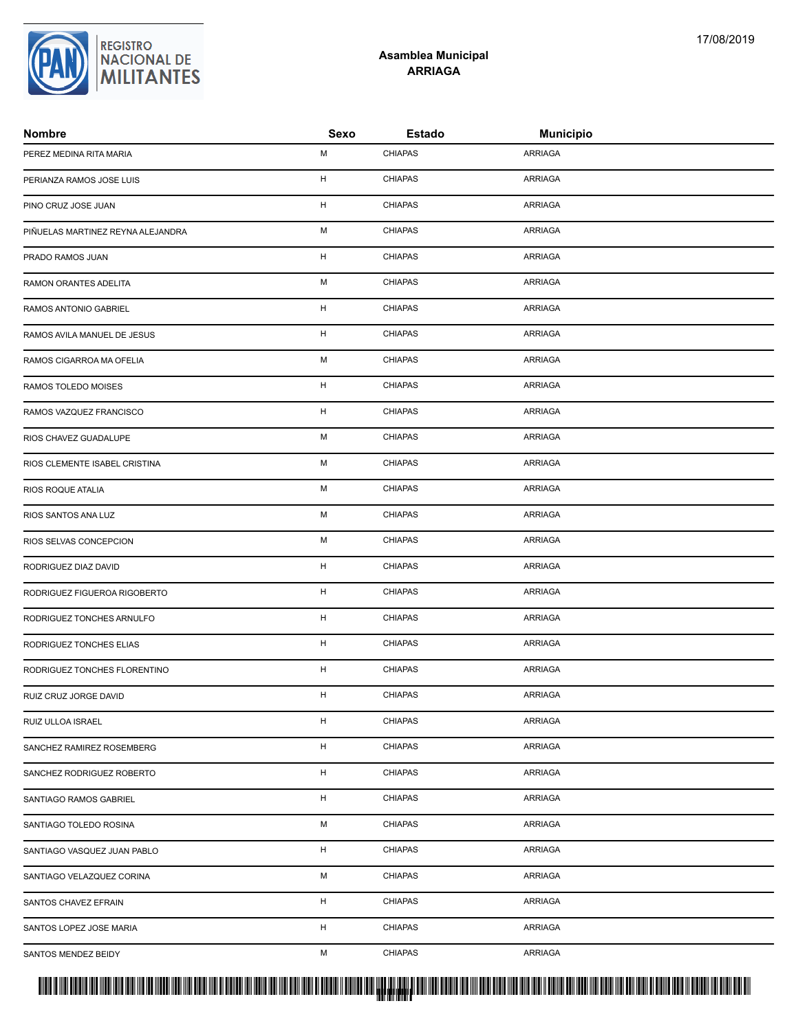| PEREZ MEDINA RITA MARIA           | М  | <b>CHIAPAS</b> | ARRIAGA        |
|-----------------------------------|----|----------------|----------------|
| PERIANZA RAMOS JOSE LUIS          | H  | <b>CHIAPAS</b> | ARRIAGA        |
| PINO CRUZ JOSE JUAN               | н  | <b>CHIAPAS</b> | ARRIAGA        |
| PIÑUELAS MARTINEZ REYNA ALEJANDRA | м  | <b>CHIAPAS</b> | ARRIAGA        |
| PRADO RAMOS JUAN                  | н  | <b>CHIAPAS</b> | ARRIAGA        |
| RAMON ORANTES ADELITA             | М  | <b>CHIAPAS</b> | ARRIAGA        |
| RAMOS ANTONIO GABRIEL             | н  | <b>CHIAPAS</b> | ARRIAGA        |
| RAMOS AVILA MANUEL DE JESUS       | H  | <b>CHIAPAS</b> | ARRIAGA        |
| RAMOS CIGARROA MA OFELIA          | М  | <b>CHIAPAS</b> | ARRIAGA        |
| RAMOS TOLEDO MOISES               | н  | <b>CHIAPAS</b> | ARRIAGA        |
| RAMOS VAZQUEZ FRANCISCO           | н  | <b>CHIAPAS</b> | <b>ARRIAGA</b> |
| RIOS CHAVEZ GUADALUPE             | М  | <b>CHIAPAS</b> | ARRIAGA        |
| RIOS CLEMENTE ISABEL CRISTINA     | М  | <b>CHIAPAS</b> | ARRIAGA        |
| RIOS ROQUE ATALIA                 | М  | <b>CHIAPAS</b> | ARRIAGA        |
| RIOS SANTOS ANA LUZ               | м  | <b>CHIAPAS</b> | ARRIAGA        |
| RIOS SELVAS CONCEPCION            | М  | <b>CHIAPAS</b> | ARRIAGA        |
| RODRIGUEZ DIAZ DAVID              | н  | <b>CHIAPAS</b> | ARRIAGA        |
| RODRIGUEZ FIGUEROA RIGOBERTO      | н  | <b>CHIAPAS</b> | <b>ARRIAGA</b> |
| RODRIGUEZ TONCHES ARNULFO         | н  | <b>CHIAPAS</b> | ARRIAGA        |
| RODRIGUEZ TONCHES ELIAS           | н  | <b>CHIAPAS</b> | ARRIAGA        |
| RODRIGUEZ TONCHES FLORENTINO      | H  | <b>CHIAPAS</b> | <b>ARRIAGA</b> |
| RUIZ CRUZ JORGE DAVID             | н  | <b>CHIAPAS</b> | ARRIAGA        |
| RUIZ ULLOA ISRAEL                 | н  | <b>CHIAPAS</b> | ARRIAGA        |
| SANCHEZ RAMIREZ ROSEMBERG         | H  | <b>CHIAPAS</b> | ARRIAGA        |
| SANCHEZ RODRIGUEZ ROBERTO         | H  | <b>CHIAPAS</b> | ARRIAGA        |
| SANTIAGO RAMOS GABRIEL            | H  | <b>CHIAPAS</b> | ARRIAGA        |
| SANTIAGO TOLEDO ROSINA            | М  | <b>CHIAPAS</b> | ARRIAGA        |
| SANTIAGO VASQUEZ JUAN PABLO       | Н. | <b>CHIAPAS</b> | <b>ARRIAGA</b> |
| SANTIAGO VELAZQUEZ CORINA         | м  | <b>CHIAPAS</b> | ARRIAGA        |
| SANTOS CHAVEZ EFRAIN              | Н. | <b>CHIAPAS</b> | ARRIAGA        |
| SANTOS LOPEZ JOSE MARIA           | H  | <b>CHIAPAS</b> | <b>ARRIAGA</b> |
| SANTOS MENDEZ BEIDY               | м  | <b>CHIAPAS</b> | ARRIAGA        |
|                                   |    |                |                |



### **Asamblea Municipal ARRIAGA**

**Nombre Sexo Estado Municipio**